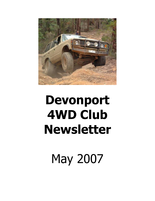

# **Devonport 4WD Club Newsletter**

May 2007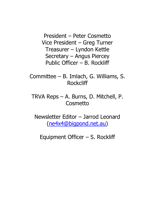President – Peter Cosmetto Vice President – Greg Turner Treasurer – Lyndon Kettle Secretary – Angus Piercey Public Officer – B. Rockliff

Committee – B. Imlach, G. Williams, S. **Rockcliff** 

TRVA Reps – A. Burns, D. Mitchell, P. **Cosmetto** 

Newsletter Editor – Jarrod Leonard [\(ne4x4@bigpond.net.au\)](mailto:ne4x4@bigpond.net.au)

Equipment Officer – S. Rockliff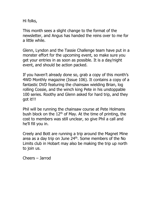Hi folks,

This month sees a slight change to the format of the newsletter, and Angus has handed the reins over to me for a little while.

Glenn, Lyndon and the Tassie Challenge team have put in a monster effort for the upcoming event, so make sure you get your entries in as soon as possible. It is a day/night event, and should be action packed.

If you haven't already done so, grab a copy of this month's 4WD Monthly magazine (Issue 106). It contains a copy of a fantastic DVD featuring the chainsaw wielding Brian, log rolling Cossie, and the winch king Pete in his unstoppable 100 series. Roothy and Glenn asked for hard trip, and they got it!!!

Phil will be running the chainsaw course at Pete Holmans bush block on the  $12<sup>th</sup>$  of May. At the time of printing, the cost to members was still unclear, so give Phil a call and he'll fill you in.

Creely and Bott are running a trip around the Magnet Mine area as a day trip on June  $24<sup>th</sup>$ . Some members of the No Limits club in Hobart may also be making the trip up north to join us.

Cheers – Jarrod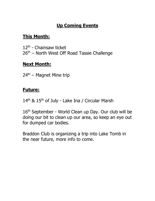## **Up Coming Events**

## **This Month:**

12th - Chainsaw ticket 26<sup>th</sup> – North West Off Road Tassie Challenge

## **Next Month:**

 $24<sup>th</sup>$  – Magnet Mine trip

### **Future:**

14<sup>th</sup> & 15<sup>th</sup> of July - Lake Ina / Circular Marsh

16<sup>th</sup> September - World Clean up Day. Our club will be doing our bit to clean up our area, so keep an eye out for dumped car bodies.

Braddon Club is organizing a trip into Lake Tomb in the near future, more info to come.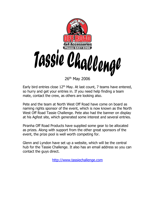

Early bird entries close  $12<sup>th</sup>$  May. At last count, 7 teams have entered, so hurry and get your entries in. If you need help finding a team mate, contact the crew, as others are looking also.

Pete and the team at North West Off Road have come on board as naming rights sponsor of the event, which is now known as the North West Off Road Tassie Challenge. Pete also had the banner on display at his Agfest site, which generated some interest and several entries.

Piranha Off Road Products have supplied some gear to be allocated as prizes. Along with support from the other great sponsors of the event, the prize pool is well worth competing for.

Glenn and Lyndon have set up a website, which will be the central hub for the Tassie Challenge. It also has an email address so you can contact the guys direct.

[http://www.tassiechallenge.com](http://www.tassiechallenge.com/)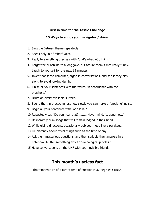#### **Just in time for the Tassie Challenge**

#### **15 Ways to annoy your navigator / driver**

- 1. Sing the Batman theme repeatedly
- 2. Speak only in a "robot" voice.
- 3. Reply to everything they say with "that's what YOU think."
- 4. Forget the punchline to a long joke, but assure them it was really funny. Laugh to yourself for the next 15 minutes.
- 5. Invent nonsense computer jargon in conversations, and see if they play along to avoid looking dumb.
- 6. Finish all your sentences with the words "in accordance with the prophesy."
- 7. Drum on every available surface.
- 8. Spend the trip practicing just how slowly you can make a "croaking" noise.
- 9. Begin all your sentences with "ooh la la!"
- 10. Repeatedly say "Do you hear that?,,,,,,,,,, Never mind, its gone now."
- 11.Deliberately hum songs that will remain lodged in their head.
- 12.While giving directions, occasionally bob your head like a parakeet.
- 13.Lie blatantly about trivial things such as the time of day.
- 14.Ask them mysterious questions, and then scribble their answers in a notebook. Mutter something about "psychological profiles."
- 15.Have conversations on the UHF with your invisible friend.

#### **This month's useless fact**

The temperature of a fart at time of creation is 37 degrees Celsius.